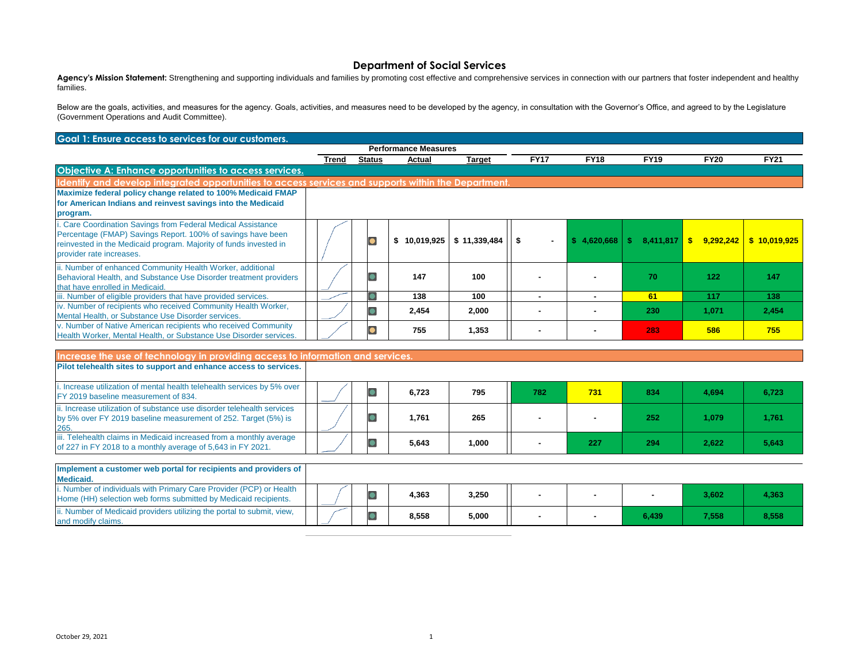Agency's Mission Statement: Strengthening and supporting individuals and families by promoting cost effective and comprehensive services in connection with our partners that foster independent and healthy families.

Below are the goals, activities, and measures for the agency. Goals, activities, and measures need to be developed by the agency, in consultation with the Governor's Office, and agreed to by the Legislature (Government Operations and Audit Committee).

| Goal 1: Ensure access to services for our customers.                                                                                                                                                                         |       |               |                             |              |                          |             |                      |             |              |  |  |
|------------------------------------------------------------------------------------------------------------------------------------------------------------------------------------------------------------------------------|-------|---------------|-----------------------------|--------------|--------------------------|-------------|----------------------|-------------|--------------|--|--|
|                                                                                                                                                                                                                              |       |               | <b>Performance Measures</b> |              |                          |             |                      |             |              |  |  |
|                                                                                                                                                                                                                              | Trend | <b>Status</b> | Actual                      | Target       | <b>FY17</b>              | <b>FY18</b> | <b>FY19</b>          | <b>FY20</b> | <b>FY21</b>  |  |  |
| Objective A: Enhance opportunities to access services.                                                                                                                                                                       |       |               |                             |              |                          |             |                      |             |              |  |  |
| Identify and develop integrated opportunities to access services and supports within the Department.                                                                                                                         |       |               |                             |              |                          |             |                      |             |              |  |  |
| Maximize federal policy change related to 100% Medicaid FMAP<br>for American Indians and reinvest savings into the Medicaid<br>program.                                                                                      |       |               |                             |              |                          |             |                      |             |              |  |  |
| i. Care Coordination Savings from Federal Medical Assistance<br>Percentage (FMAP) Savings Report. 100% of savings have been<br>reinvested in the Medicaid program. Majority of funds invested in<br>provider rate increases. |       |               | 10,019,925丨<br>\$           | \$11,339,484 | - \$                     | \$4,620,668 | $8,411,817$ \$<br>S. | 9,292,242   | \$10.019.925 |  |  |
| ii. Number of enhanced Community Health Worker, additional<br>Behavioral Health, and Substance Use Disorder treatment providers<br>that have enrolled in Medicaid.                                                           |       |               | 147                         | 100          |                          |             | 70                   | 122         | 147          |  |  |
| iii. Number of eligible providers that have provided services.                                                                                                                                                               |       |               | 138                         | 100          | ۰                        |             | 61                   | 117         | 138          |  |  |
| iv. Number of recipients who received Community Health Worker,<br>Mental Health, or Substance Use Disorder services.                                                                                                         |       |               | 2,454                       | 2,000        |                          |             | 230                  | 1,071       | 2,454        |  |  |
| v. Number of Native American recipients who received Community<br>Health Worker, Mental Health, or Substance Use Disorder services.                                                                                          |       |               | 755                         | 1,353        | $\overline{\phantom{0}}$ |             | 283                  | 586         | 755          |  |  |

| Increase the use of technology in providing access to information and services.                                                                  |  |       |       |     |     |     |       |       |
|--------------------------------------------------------------------------------------------------------------------------------------------------|--|-------|-------|-----|-----|-----|-------|-------|
| Pilot telehealth sites to support and enhance access to services.                                                                                |  |       |       |     |     |     |       |       |
| i. Increase utilization of mental health telehealth services by 5% over<br>FY 2019 baseline measurement of 834.                                  |  | 6,723 | 795   | 782 | 731 | 834 | 4,694 | 6,723 |
| ii. Increase utilization of substance use disorder telehealth services<br>by 5% over FY 2019 baseline measurement of 252. Target (5%) is<br>265. |  | 1,761 | 265   |     |     | 252 | 1,079 | 1,761 |
| iii. Telehealth claims in Medicaid increased from a monthly average<br>of 227 in FY 2018 to a monthly average of 5,643 in FY 2021.               |  | 5,643 | 1,000 |     | 227 | 294 | 2,622 | 5,643 |
| Implement a customer web portal for recipients and providers of<br>Modicaid                                                                      |  |       |       |     |     |     |       |       |

| ----------                                                                                                                                    |       |       |       |  |       |       |       |
|-----------------------------------------------------------------------------------------------------------------------------------------------|-------|-------|-------|--|-------|-------|-------|
| <i>i.</i> Number of individuals with Primary Care Provider (PCP) or Health<br>Home (HH) selection web forms submitted by Medicaid recipients. | _____ | 4,363 | 3,250 |  |       | 3,602 | 4,363 |
| ii. Number of Medicaid providers utilizing the portal to submit, view,<br>and modify claims.                                                  |       | 8,558 | 5,000 |  | 6,439 | 7,558 | 8,558 |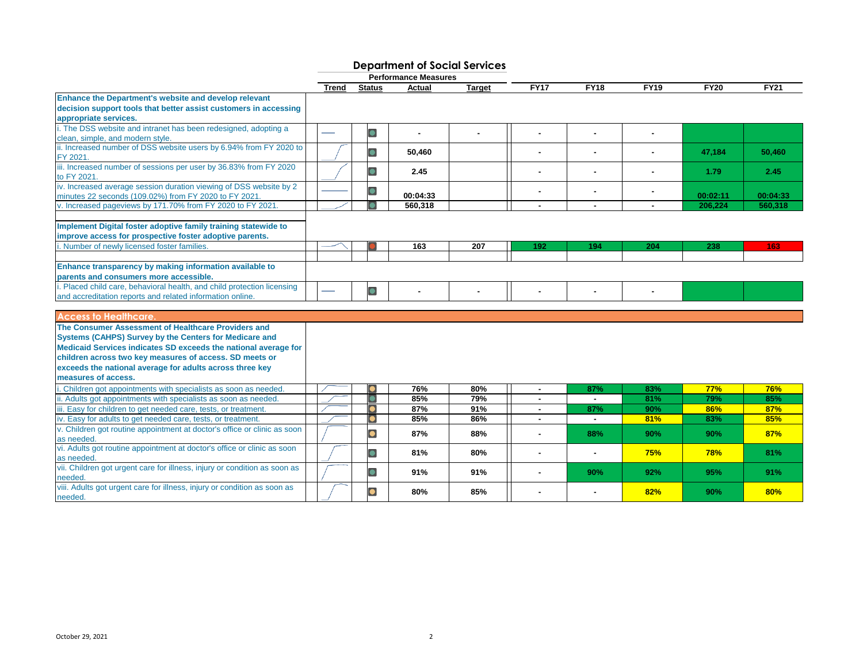| <b>Performance Measures</b>                                                                                                 |              |               |          |               |                |                |             |             |             |  |  |  |
|-----------------------------------------------------------------------------------------------------------------------------|--------------|---------------|----------|---------------|----------------|----------------|-------------|-------------|-------------|--|--|--|
|                                                                                                                             | <b>Trend</b> | <b>Status</b> | Actual   | <b>Target</b> | <b>FY17</b>    | <b>FY18</b>    | <b>FY19</b> | <b>FY20</b> | <b>FY21</b> |  |  |  |
| Enhance the Department's website and develop relevant                                                                       |              |               |          |               |                |                |             |             |             |  |  |  |
| decision support tools that better assist customers in accessing                                                            |              |               |          |               |                |                |             |             |             |  |  |  |
| appropriate services.                                                                                                       |              |               |          |               |                |                |             |             |             |  |  |  |
| i. The DSS website and intranet has been redesigned, adopting a                                                             |              | $\bullet$     | $\sim$   |               |                |                |             |             |             |  |  |  |
| clean, simple, and modern style.                                                                                            |              |               |          |               |                |                |             |             |             |  |  |  |
| ii. Increased number of DSS website users by 6.94% from FY 2020 to                                                          |              | $\bullet$     | 50.460   |               |                |                |             | 47.184      | 50,460      |  |  |  |
| FY 2021.                                                                                                                    |              |               |          |               |                |                |             |             |             |  |  |  |
| iii. Increased number of sessions per user by 36.83% from FY 2020                                                           |              | $\bullet$     | 2.45     |               |                |                |             | 1.79        | 2.45        |  |  |  |
| to FY 2021.                                                                                                                 |              |               |          |               |                |                |             |             |             |  |  |  |
| iv. Increased average session duration viewing of DSS website by 2<br>minutes 22 seconds (109.02%) from FY 2020 to FY 2021. |              |               | 00:04:33 |               |                |                |             | 00:02:11    | 00:04:33    |  |  |  |
| v. Increased pageviews by 171.70% from FY 2020 to FY 2021.                                                                  |              |               | 560,318  |               | ÷              | $\blacksquare$ |             | 206,224     | 560,318     |  |  |  |
|                                                                                                                             |              |               |          |               |                |                |             |             |             |  |  |  |
| Implement Digital foster adoptive family training statewide to                                                              |              |               |          |               |                |                |             |             |             |  |  |  |
| improve access for prospective foster adoptive parents.                                                                     |              |               |          |               |                |                |             |             |             |  |  |  |
| . Number of newly licensed foster families                                                                                  |              |               | 163      | 207           | 192            | 194            | 204         | 238         | 163         |  |  |  |
|                                                                                                                             |              |               |          |               |                |                |             |             |             |  |  |  |
| Enhance transparency by making information available to                                                                     |              |               |          |               |                |                |             |             |             |  |  |  |
| parents and consumers more accessible.                                                                                      |              |               |          |               |                |                |             |             |             |  |  |  |
| . Placed child care, behavioral health, and child protection licensing                                                      |              |               |          |               |                |                |             |             |             |  |  |  |
| and accreditation reports and related information online.                                                                   |              | $\bullet$     |          |               |                |                |             |             |             |  |  |  |
|                                                                                                                             |              |               |          |               |                |                |             |             |             |  |  |  |
| <b>Access to Healthcare.</b>                                                                                                |              |               |          |               |                |                |             |             |             |  |  |  |
| The Consumer Assessment of Healthcare Providers and                                                                         |              |               |          |               |                |                |             |             |             |  |  |  |
| <b>Systems (CAHPS) Survey by the Centers for Medicare and</b>                                                               |              |               |          |               |                |                |             |             |             |  |  |  |
| Medicaid Services indicates SD exceeds the national average for                                                             |              |               |          |               |                |                |             |             |             |  |  |  |
| children across two key measures of access. SD meets or                                                                     |              |               |          |               |                |                |             |             |             |  |  |  |
| exceeds the national average for adults across three key                                                                    |              |               |          |               |                |                |             |             |             |  |  |  |
| measures of access.                                                                                                         |              |               |          |               |                |                |             |             |             |  |  |  |
| Children got appointments with specialists as soon as needed.                                                               |              |               | 76%      | 80%           | $\sim$         | 87%            | 83%         | <b>77%</b>  | 76%         |  |  |  |
| ii. Adults got appointments with specialists as soon as needed.                                                             |              |               | 85%      | 79%           | $\sim$         |                | 81%         | 79%         | 85%         |  |  |  |
| iii. Easy for children to get needed care, tests, or treatment.                                                             |              |               | 87%      | 91%           |                | 87%            | 90%         | 86%         | 87%         |  |  |  |
| iv. Easy for adults to get needed care, tests, or treatment.                                                                |              |               | 85%      | 86%           | $\overline{a}$ | $\blacksquare$ | 81%         | 83%         | 85%         |  |  |  |
| v. Children got routine appointment at doctor's office or clinic as soon                                                    |              |               |          |               |                |                |             |             |             |  |  |  |
| as needed.                                                                                                                  |              | $\bullet$     | 87%      | 88%           |                | 88%            | 90%         | 90%         | 87%         |  |  |  |
| vi. Adults got routine appointment at doctor's office or clinic as soon                                                     |              |               |          |               |                |                |             |             |             |  |  |  |
| as needed.                                                                                                                  |              | $\bullet$     | 81%      | 80%           |                |                | 75%         | <b>78%</b>  | 81%         |  |  |  |
| vii. Children got urgent care for illness, injury or condition as soon as                                                   |              | o             | 91%      | 91%           |                |                |             |             |             |  |  |  |
| needed.                                                                                                                     |              |               |          |               |                | 90%            | 92%         | 95%         | 91%         |  |  |  |
| viii. Adults got urgent care for illness, injury or condition as soon as                                                    |              |               | 80%      | 85%           |                |                | 82%         | 90%         | 80%         |  |  |  |
| needed.                                                                                                                     |              |               |          |               |                |                |             |             |             |  |  |  |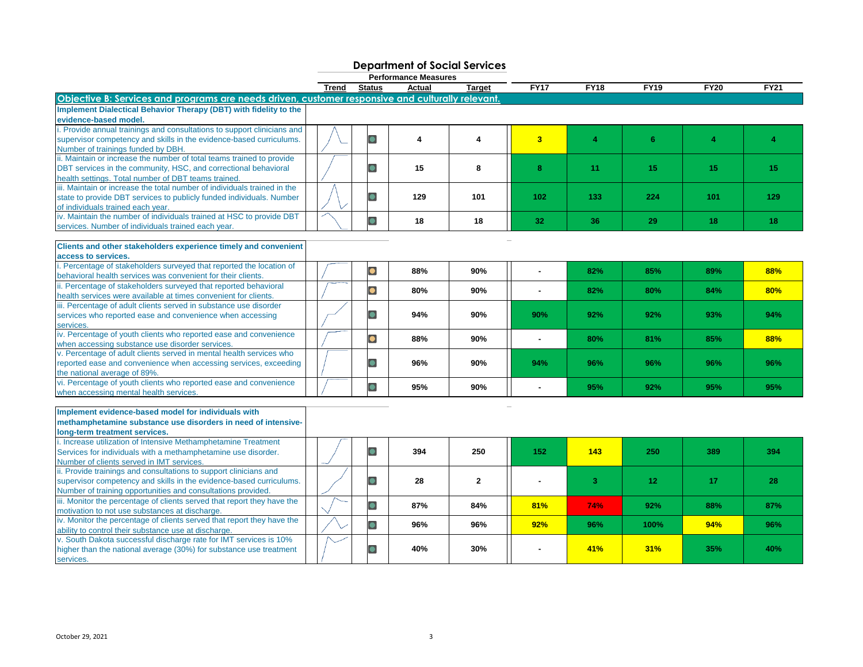| <b>Department of Social Services</b><br><b>Performance Measures</b>                                                                                                                                      |       |                         |               |               |                 |      |             |                |             |  |  |  |
|----------------------------------------------------------------------------------------------------------------------------------------------------------------------------------------------------------|-------|-------------------------|---------------|---------------|-----------------|------|-------------|----------------|-------------|--|--|--|
|                                                                                                                                                                                                          | Trend | <b>Status</b>           | <b>Actual</b> | <b>Target</b> | <b>FY17</b>     | FY18 | <b>FY19</b> | <b>FY20</b>    | <b>FY21</b> |  |  |  |
| Objective B: Services and programs are needs driven, customer responsive and culturally relevant                                                                                                         |       |                         |               |               |                 |      |             |                |             |  |  |  |
| Implement Dialectical Behavior Therapy (DBT) with fidelity to the<br>evidence-based model.                                                                                                               |       |                         |               |               |                 |      |             |                |             |  |  |  |
| . Provide annual trainings and consultations to support clinicians and<br>supervisor competency and skills in the evidence-based curriculums.<br>Number of trainings funded by DBH.                      |       | $\Box$                  | 4             | 4             | 3 <sup>2</sup>  | 4    | 6           | $\overline{4}$ | 4           |  |  |  |
| ii. Maintain or increase the number of total teams trained to provide<br>DBT services in the community, HSC, and correctional behavioral<br>health settings. Total number of DBT teams trained           |       | $\bullet$               | 15            | 8             | 8               | 11   | 15          | 15             | 15          |  |  |  |
| iii. Maintain or increase the total number of individuals trained in the<br>state to provide DBT services to publicly funded individuals. Number<br>of individuals trained each year.                    |       | $\bullet$               | 129           | 101           | 102             | 133  | 224         | 101            | 129         |  |  |  |
| iv. Maintain the number of individuals trained at HSC to provide DBT<br>services. Number of individuals trained each year.                                                                               |       | $\bullet$               | 18            | 18            | 32 <sub>1</sub> | 36   | 29          | 18             | 18          |  |  |  |
| Clients and other stakeholders experience timely and convenient                                                                                                                                          |       |                         |               |               |                 |      |             |                |             |  |  |  |
| access to services.<br>. Percentage of stakeholders surveyed that reported the location of<br>behavioral health services was convenient for their clients.                                               |       | O                       | 88%           | 90%           | ä,              | 82%  | 85%         | 89%            | 88%         |  |  |  |
| ii. Percentage of stakeholders surveyed that reported behavioral<br>health services were available at times convenient for clients.                                                                      |       | O                       | 80%           | 90%           | $\sim$          | 82%  | 80%         | 84%            | 80%         |  |  |  |
| iii. Percentage of adult clients served in substance use disorder<br>services who reported ease and convenience when accessing<br>services.                                                              |       | $\bullet$               | 94%           | 90%           | 90%             | 92%  | 92%         | 93%            | 94%         |  |  |  |
| iv. Percentage of youth clients who reported ease and convenience<br>when accessing substance use disorder services.                                                                                     |       | $\overline{\mathbf{O}}$ | 88%           | 90%           | ä,              | 80%  | 81%         | 85%            | 88%         |  |  |  |
| v. Percentage of adult clients served in mental health services who<br>reported ease and convenience when accessing services, exceeding<br>the national average of 89%.                                  |       | $\bullet$               | 96%           | 90%           | 94%             | 96%  | 96%         | 96%            | 96%         |  |  |  |
| vi. Percentage of youth clients who reported ease and convenience<br>when accessing mental health services.                                                                                              |       |                         | 95%           | 90%           | $\overline{a}$  | 95%  | 92%         | 95%            | 95%         |  |  |  |
| Implement evidence-based model for individuals with<br>methamphetamine substance use disorders in need of intensive-<br>long-term treatment services.                                                    |       |                         |               |               |                 |      |             |                |             |  |  |  |
| i. Increase utilization of Intensive Methamphetamine Treatment<br>Services for individuals with a methamphetamine use disorder.<br>Number of clients served in IMT services.                             |       | $\bullet$               | 394           | 250           | 152             | 143  | 250         | 389            | 394         |  |  |  |
| ii. Provide trainings and consultations to support clinicians and<br>supervisor competency and skills in the evidence-based curriculums.<br>Number of training opportunities and consultations provided. |       | $\bullet$               | 28            | $\mathbf{2}$  |                 | 3    | 12          | 17             | 28          |  |  |  |
| iii. Monitor the percentage of clients served that report they have the<br>motivation to not use substances at discharge.                                                                                |       |                         | 87%           | 84%           | 81%             | 74%  | 92%         | 88%            | 87%         |  |  |  |
| iv. Monitor the percentage of clients served that report they have the<br>ability to control their substance use at discharge.                                                                           |       | $\bullet$               | 96%           | 96%           | 92%             | 96%  | 100%        | 94%            | 96%         |  |  |  |
| v. South Dakota successful discharge rate for IMT services is 10%<br>higher than the national average (30%) for substance use treatment<br>services.                                                     |       |                         | 40%           | 30%           |                 | 41%  | 31%         | 35%            | 40%         |  |  |  |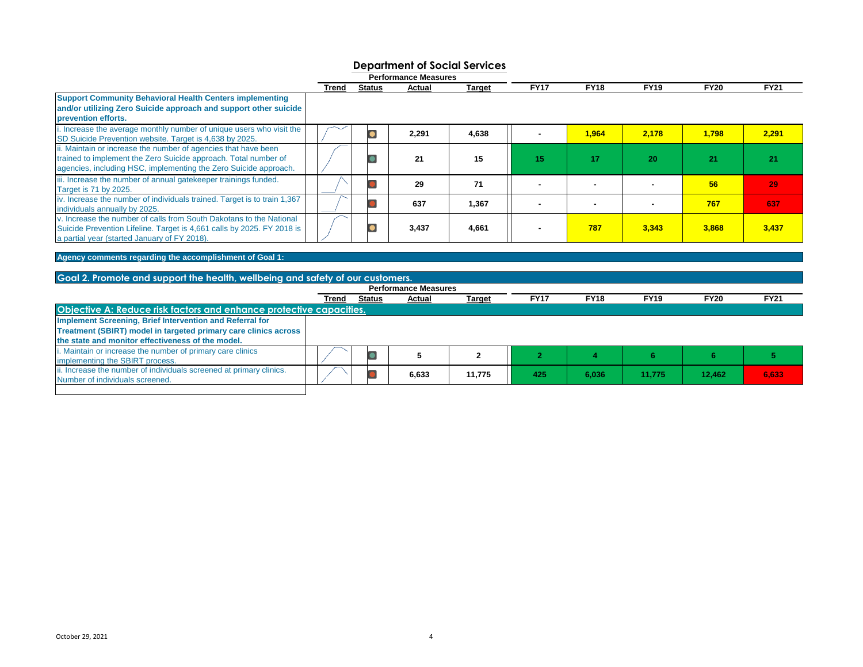|                                                                                                                                                                                                       | <b>Performance Measures</b> |               |        |               |             |             |             |             |             |  |  |
|-------------------------------------------------------------------------------------------------------------------------------------------------------------------------------------------------------|-----------------------------|---------------|--------|---------------|-------------|-------------|-------------|-------------|-------------|--|--|
|                                                                                                                                                                                                       | Trend                       | <b>Status</b> | Actual | <b>Target</b> | <b>FY17</b> | <b>FY18</b> | <b>FY19</b> | <b>FY20</b> | <b>FY21</b> |  |  |
| <b>Support Community Behavioral Health Centers implementing</b><br>and/or utilizing Zero Suicide approach and support other suicide<br>prevention efforts.                                            |                             |               |        |               |             |             |             |             |             |  |  |
| . Increase the average monthly number of unique users who visit the<br>SD Suicide Prevention website. Target is 4,638 by 2025.                                                                        |                             |               | 2,291  | 4,638         |             | 1.964       | 2,178       | 1,798       | 2,291       |  |  |
| ii. Maintain or increase the number of agencies that have been<br>trained to implement the Zero Suicide approach. Total number of<br>agencies, including HSC, implementing the Zero Suicide approach. |                             |               | 21     | 15            | -15         | 17          | 20          | 21          | 21          |  |  |
| iii. Increase the number of annual gatekeeper trainings funded.<br><b>Target is 71 by 2025.</b>                                                                                                       |                             |               | 29     | 71            |             |             |             | 56          | 29          |  |  |
| iv. Increase the number of individuals trained. Target is to train 1,367<br>individuals annually by 2025.                                                                                             |                             |               | 637    | 1,367         |             |             |             | 767         | 637         |  |  |
| v. Increase the number of calls from South Dakotans to the National<br>Suicide Prevention Lifeline. Target is 4,661 calls by 2025. FY 2018 is<br>a partial year (started January of FY 2018).         |                             |               | 3,437  | 4,661         |             | 787         | 3,343       | 3,868       | 3,437       |  |  |

**Agency comments regarding the accomplishment of Goal 1:** 

### **Goal 2. Promote and support the health, wellbeing and safety of our customers.**

|                                                                     | Trend | <b>Status</b> | Actual | <b>Target</b> | <b>FY17</b> | <b>FY18</b> | <b>FY19</b> | <b>FY20</b> | <b>FY21</b> |
|---------------------------------------------------------------------|-------|---------------|--------|---------------|-------------|-------------|-------------|-------------|-------------|
| Objective A: Reduce risk factors and enhance protective capacities. |       |               |        |               |             |             |             |             |             |
| Implement Screening, Brief Intervention and Referral for            |       |               |        |               |             |             |             |             |             |
| Treatment (SBIRT) model in targeted primary care clinics across     |       |               |        |               |             |             |             |             |             |
| the state and monitor effectiveness of the model.                   |       |               |        |               |             |             |             |             |             |
| i. Maintain or increase the number of primary care clinics          |       |               |        |               |             |             |             |             |             |
| implementing the SBIRT process.                                     |       |               |        |               |             |             |             |             |             |
| ii. Increase the number of individuals screened at primary clinics. |       |               | 6,633  | 11,775        | 425         | 6,036       | 11,775      | 12,462      | 6,633       |
| Number of individuals screened.                                     |       |               |        |               |             |             |             |             |             |
|                                                                     |       |               |        |               |             |             |             |             |             |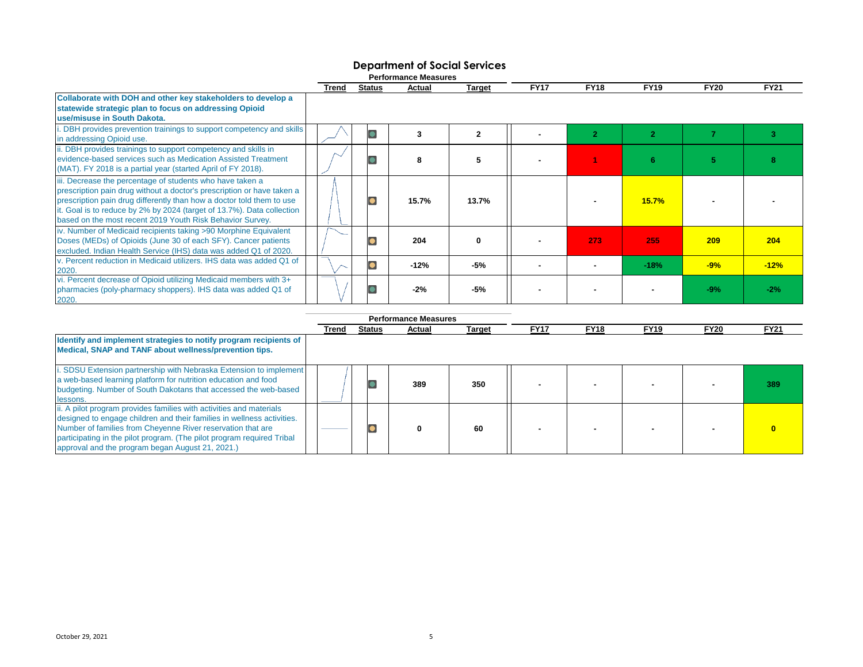|                                                                                                                                                                                                                                                                                                                                                   | Trend | <b>Status</b> | Actual | <b>Target</b> | <b>FY17</b> | <b>FY18</b> | <b>FY19</b> | <b>FY20</b> | <b>FY21</b> |
|---------------------------------------------------------------------------------------------------------------------------------------------------------------------------------------------------------------------------------------------------------------------------------------------------------------------------------------------------|-------|---------------|--------|---------------|-------------|-------------|-------------|-------------|-------------|
| Collaborate with DOH and other key stakeholders to develop a<br>statewide strategic plan to focus on addressing Opioid<br>use/misuse in South Dakota.                                                                                                                                                                                             |       |               |        |               |             |             |             |             |             |
| DBH provides prevention trainings to support competency and skills<br>in addressing Opioid use.                                                                                                                                                                                                                                                   |       |               | 3      | $\mathbf{2}$  |             |             |             |             |             |
| . DBH provides trainings to support competency and skills in<br>evidence-based services such as Medication Assisted Treatment<br>(MAT). FY 2018 is a partial year (started April of FY 2018).                                                                                                                                                     |       |               | я      | 5             |             |             | -6          |             |             |
| ii. Decrease the percentage of students who have taken a<br>prescription pain drug without a doctor's prescription or have taken a<br>prescription pain drug differently than how a doctor told them to use<br>t. Goal is to reduce by 2% by 2024 (target of 13.7%). Data collection<br>based on the most recent 2019 Youth Risk Behavior Survey. |       |               | 15.7%  | 13.7%         |             |             | 15.7%       |             |             |
| iv. Number of Medicaid recipients taking >90 Morphine Equivalent<br>Doses (MEDs) of Opioids (June 30 of each SFY). Cancer patients<br>excluded. Indian Health Service (IHS) data was added Q1 of 2020.                                                                                                                                            |       |               | 204    | 0             |             | 273         | 255         | 209         | 204         |
| v. Percent reduction in Medicaid utilizers. IHS data was added Q1 of<br>2020.                                                                                                                                                                                                                                                                     |       |               | $-12%$ | -5%           |             |             | $-18%$      | $-9%$       | $-12%$      |
| vi. Percent decrease of Opioid utilizing Medicaid members with 3+<br>pharmacies (poly-pharmacy shoppers). IHS data was added Q1 of<br>2020.                                                                                                                                                                                                       |       |               | $-2%$  | -5%           |             |             |             | $-9%$       | $-2\%$      |

### **Department of Social Services Performance Measures**

|                                                                                                                                                                                                                                                                                                                                            |       |        | <b>Performance Measures</b> |               |             |             |             |             |             |
|--------------------------------------------------------------------------------------------------------------------------------------------------------------------------------------------------------------------------------------------------------------------------------------------------------------------------------------------|-------|--------|-----------------------------|---------------|-------------|-------------|-------------|-------------|-------------|
|                                                                                                                                                                                                                                                                                                                                            | Trend | Status | Actual                      | <b>Target</b> | <b>FY17</b> | <b>FY18</b> | <b>FY19</b> | <b>FY20</b> | <b>FY21</b> |
| Identify and implement strategies to notify program recipients of<br>Medical, SNAP and TANF about wellness/prevention tips.                                                                                                                                                                                                                |       |        |                             |               |             |             |             |             |             |
| SDSU Extension partnership with Nebraska Extension to implement<br>a web-based learning platform for nutrition education and food<br>budgeting. Number of South Dakotans that accessed the web-based<br>lessons.                                                                                                                           |       |        | 389                         | 350           |             |             |             |             | 389         |
| ii. A pilot program provides families with activities and materials<br>designed to engage children and their families in wellness activities.<br>Number of families from Cheyenne River reservation that are<br>participating in the pilot program. (The pilot program required Tribal<br>approval and the program began August 21, 2021.) |       |        |                             | 60            |             |             |             |             |             |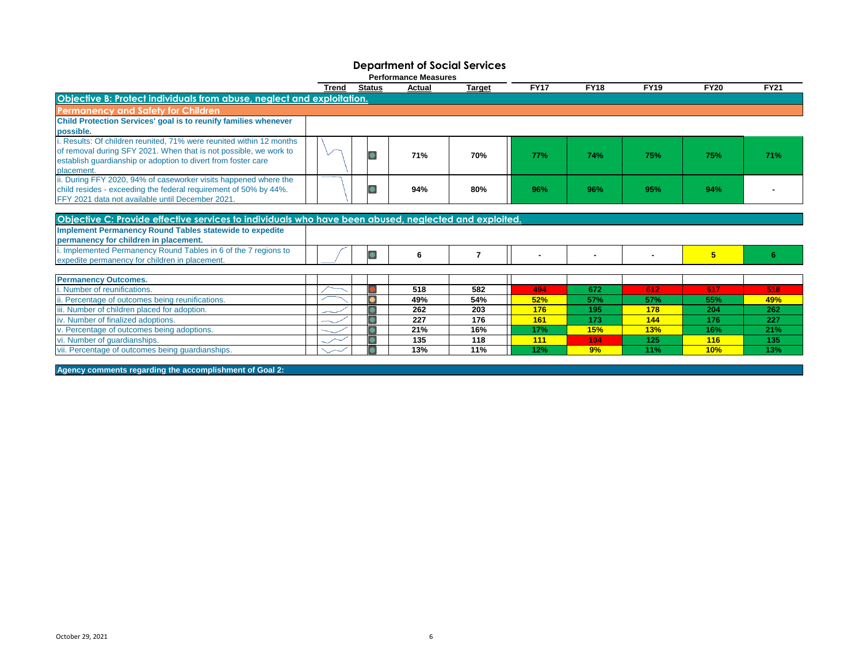|                                                                                                       |       |               | <b>Performance Measures</b> |                |             |             |             |             |             |
|-------------------------------------------------------------------------------------------------------|-------|---------------|-----------------------------|----------------|-------------|-------------|-------------|-------------|-------------|
|                                                                                                       | Trend | <b>Status</b> | Actual                      | <b>Target</b>  | <b>FY17</b> | <b>FY18</b> | <b>FY19</b> | <b>FY20</b> | <b>FY21</b> |
| Objective B: Protect individuals from abuse, neglect and exploitation.                                |       |               |                             |                |             |             |             |             |             |
| <b>Permanency and Safety for Children</b>                                                             |       |               |                             |                |             |             |             |             |             |
| Child Protection Services' goal is to reunify families whenever                                       |       |               |                             |                |             |             |             |             |             |
| possible.                                                                                             |       |               |                             |                |             |             |             |             |             |
| i. Results: Of children reunited, 71% were reunited within 12 months                                  |       |               |                             |                |             |             |             |             |             |
| of removal during SFY 2021. When that is not possible, we work to                                     |       |               | 71%                         | 70%            | <b>77%</b>  | 74%         | 75%         | 75%         | 71%         |
| establish guardianship or adoption to divert from foster care                                         |       |               |                             |                |             |             |             |             |             |
| placement.                                                                                            |       |               |                             |                |             |             |             |             |             |
| ii. During FFY 2020, 94% of caseworker visits happened where the                                      |       |               |                             |                |             |             |             |             |             |
| child resides - exceeding the federal requirement of 50% by 44%.                                      |       |               | 94%                         | 80%            | 96%         | 96%         | 95%         | 94%         |             |
| FFY 2021 data not available until December 2021.                                                      |       |               |                             |                |             |             |             |             |             |
|                                                                                                       |       |               |                             |                |             |             |             |             |             |
| Objective C: Provide effective services to individuals who have been abused, neglected and exploited. |       |               |                             |                |             |             |             |             |             |
| <b>Implement Permanency Round Tables statewide to expedite</b>                                        |       |               |                             |                |             |             |             |             |             |
| permanency for children in placement.                                                                 |       |               |                             |                |             |             |             |             |             |
| i. Implemented Permanency Round Tables in 6 of the 7 regions to                                       |       | lo            | 6                           | $\overline{7}$ | ٠           |             |             | 5           | 6           |
| expedite permanency for children in placement.                                                        |       |               |                             |                |             |             |             |             |             |
| <b>Permanency Outcomes.</b>                                                                           |       |               |                             |                |             |             |             |             |             |
| i. Number of reunifications.                                                                          |       |               | 518                         | 582            | 494         | 672         | 612         | 617         | 518         |
| ii. Percentage of outcomes being reunifications.                                                      |       |               | 49%                         | 54%            | 52%         | 57%         | 57%         | 55%         | 49%         |
| iii. Number of children placed for adoption.                                                          |       |               | 262                         | 203            | 176         | 195         | 178         | 204         | 262         |
| iv. Number of finalized adoptions.                                                                    |       |               | 227                         | 176            | 161         | 173         | 144         | 176         | 227         |
| v. Percentage of outcomes being adoptions.                                                            |       |               | 21%                         | 16%            | 17%         | <b>15%</b>  | 13%         | 16%         | 21%         |
| vi. Number of quardianships.                                                                          |       |               | 135                         | 118            | 111         | 104         | 125         | 116         | 135         |
| vii. Percentage of outcomes being guardianships.                                                      |       |               | 13%                         | 11%            | 12%         | 9%          | 11%         | 10%         | 13%         |
|                                                                                                       |       |               |                             |                |             |             |             |             |             |

**Agency comments regarding the accomplishment of Goal 2:**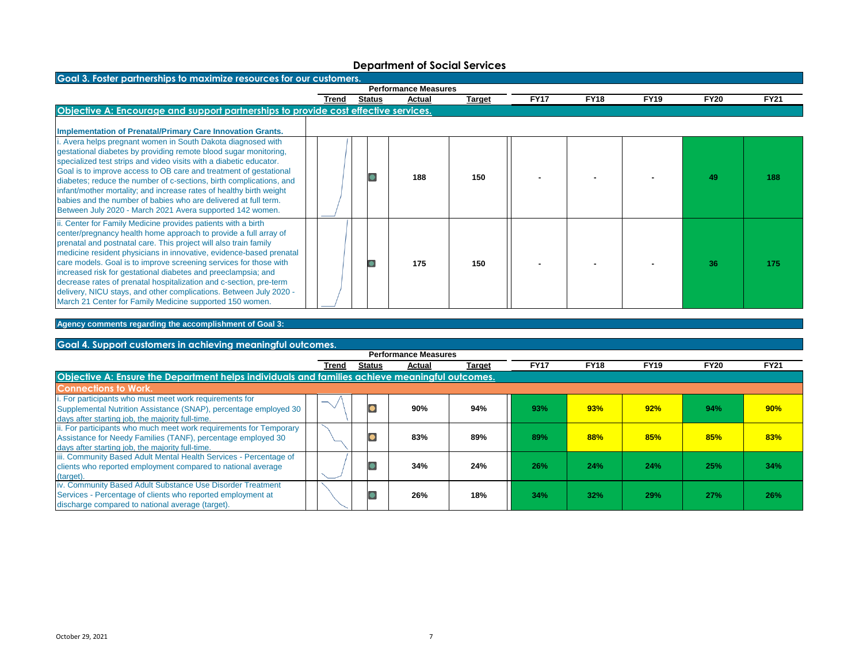| Goal 3. Foster partnerships to maximize resources for our customers.                                                                                                                                                                                                                                                                                                                                                                                                                                                                                                                                                      |       |               |                             |        |             |             |             |             |             |  |  |  |
|---------------------------------------------------------------------------------------------------------------------------------------------------------------------------------------------------------------------------------------------------------------------------------------------------------------------------------------------------------------------------------------------------------------------------------------------------------------------------------------------------------------------------------------------------------------------------------------------------------------------------|-------|---------------|-----------------------------|--------|-------------|-------------|-------------|-------------|-------------|--|--|--|
|                                                                                                                                                                                                                                                                                                                                                                                                                                                                                                                                                                                                                           |       |               | <b>Performance Measures</b> |        |             |             |             |             |             |  |  |  |
|                                                                                                                                                                                                                                                                                                                                                                                                                                                                                                                                                                                                                           | Trend | <b>Status</b> | Actual                      | Target | <b>FY17</b> | <b>FY18</b> | <b>FY19</b> | <b>FY20</b> | <b>FY21</b> |  |  |  |
| Objective A: Encourage and support partnerships to provide cost effective services.                                                                                                                                                                                                                                                                                                                                                                                                                                                                                                                                       |       |               |                             |        |             |             |             |             |             |  |  |  |
| <b>Implementation of Prenatal/Primary Care Innovation Grants.</b>                                                                                                                                                                                                                                                                                                                                                                                                                                                                                                                                                         |       |               |                             |        |             |             |             |             |             |  |  |  |
| Avera helps pregnant women in South Dakota diagnosed with<br>gestational diabetes by providing remote blood sugar monitoring,<br>specialized test strips and video visits with a diabetic educator.<br>Goal is to improve access to OB care and treatment of gestational<br>diabetes; reduce the number of c-sections, birth complications, and<br>infant/mother mortality; and increase rates of healthy birth weight<br>babies and the number of babies who are delivered at full term.<br>Between July 2020 - March 2021 Avera supported 142 women.                                                                    |       |               | 188                         | 150    |             |             |             | 49          | 188         |  |  |  |
| i. Center for Family Medicine provides patients with a birth<br>center/pregnancy health home approach to provide a full array of<br>prenatal and postnatal care. This project will also train family<br>medicine resident physicians in innovative, evidence-based prenatal<br>care models. Goal is to improve screening services for those with<br>increased risk for gestational diabetes and preeclampsia; and<br>decrease rates of prenatal hospitalization and c-section, pre-term<br>delivery, NICU stays, and other complications. Between July 2020 -<br>March 21 Center for Family Medicine supported 150 women. |       |               | 175                         | 150    |             |             |             | 36          | 175         |  |  |  |

## **Agency comments regarding the accomplishment of Goal 3:**

### **Goal 4. Support customers in achieving meaningful outcomes.**

|                                                                                                                                                                                        | <b>Performance Measures</b> |               |        |        |             |             |             |             |             |
|----------------------------------------------------------------------------------------------------------------------------------------------------------------------------------------|-----------------------------|---------------|--------|--------|-------------|-------------|-------------|-------------|-------------|
|                                                                                                                                                                                        | Trend                       | <b>Status</b> | Actual | Target | <b>FY17</b> | <b>FY18</b> | <b>FY19</b> | <b>FY20</b> | <b>FY21</b> |
| Objective A: Ensure the Department helps individuals and families achieve meaningful outcomes.                                                                                         |                             |               |        |        |             |             |             |             |             |
| <b>Connections to Work.</b>                                                                                                                                                            |                             |               |        |        |             |             |             |             |             |
| i. For participants who must meet work requirements for<br>Supplemental Nutrition Assistance (SNAP), percentage employed 30<br>days after starting job, the majority full-time.        |                             |               | 90%    | 94%    | 93%         | 93%         | 92%         | 94%         | 90%         |
| ii. For participants who much meet work requirements for Temporary<br>Assistance for Needy Families (TANF), percentage employed 30<br>days after starting job, the majority full-time. |                             |               | 83%    | 89%    | 89%         | 88%         | 85%         | 85%         | 83%         |
| iii. Community Based Adult Mental Health Services - Percentage of<br>clients who reported employment compared to national average<br>(target).                                         |                             |               | 34%    | 24%    | 26%         | 24%         | 24%         | 25%         | 34%         |
| iv. Community Based Adult Substance Use Disorder Treatment<br>Services - Percentage of clients who reported employment at<br>discharge compared to national average (target).          |                             |               | 26%    | 18%    | 34%         | 32%         | 29%         | 27%         | 26%         |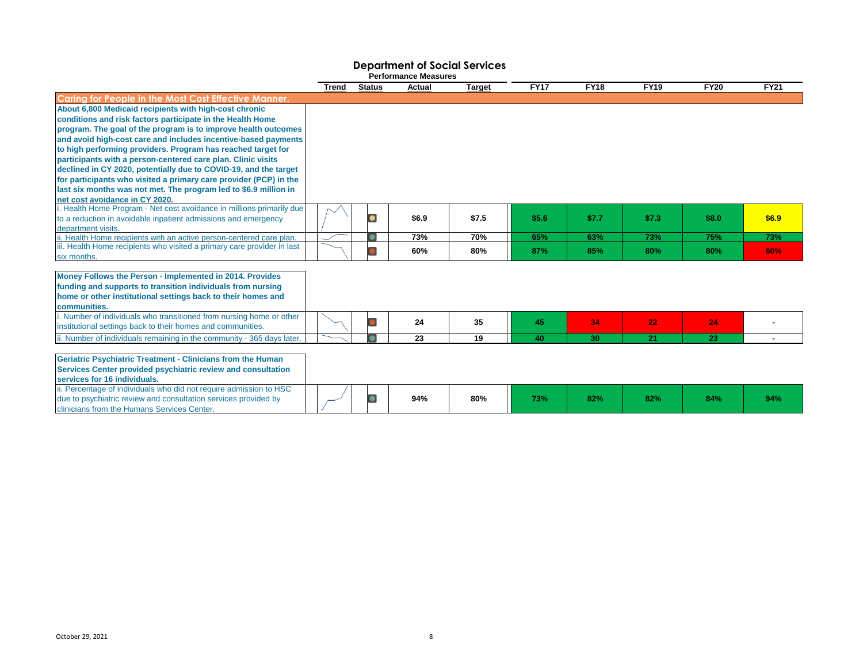| <b>Performance Measures</b>                                                                                                                                                                                                                                                                                                                                                                                                                                                                                                                                                                           |       |               |        |               |             |             |             |             |             |
|-------------------------------------------------------------------------------------------------------------------------------------------------------------------------------------------------------------------------------------------------------------------------------------------------------------------------------------------------------------------------------------------------------------------------------------------------------------------------------------------------------------------------------------------------------------------------------------------------------|-------|---------------|--------|---------------|-------------|-------------|-------------|-------------|-------------|
|                                                                                                                                                                                                                                                                                                                                                                                                                                                                                                                                                                                                       | Trend | <b>Status</b> | Actual | <b>Target</b> | <b>FY17</b> | <b>FY18</b> | <b>FY19</b> | <b>FY20</b> | <b>FY21</b> |
| <b>Caring for People in the Most Cost Effective Manner.</b>                                                                                                                                                                                                                                                                                                                                                                                                                                                                                                                                           |       |               |        |               |             |             |             |             |             |
| About 6,800 Medicaid recipients with high-cost chronic<br>conditions and risk factors participate in the Health Home<br>program. The goal of the program is to improve health outcomes<br>and avoid high-cost care and includes incentive-based payments<br>to high performing providers. Program has reached target for<br>participants with a person-centered care plan. Clinic visits<br>declined in CY 2020, potentially due to COVID-19, and the target<br>for participants who visited a primary care provider (PCP) in the<br>last six months was not met. The program led to \$6.9 million in |       |               |        |               |             |             |             |             |             |
| net cost avoidance in CY 2020.                                                                                                                                                                                                                                                                                                                                                                                                                                                                                                                                                                        |       |               |        |               |             |             |             |             |             |
| i. Health Home Program - Net cost avoidance in millions primarily due<br>to a reduction in avoidable inpatient admissions and emergency<br>department visits.                                                                                                                                                                                                                                                                                                                                                                                                                                         |       | $\bullet$     | \$6.9  | \$7.5         | \$5.6       | \$7.7       | \$7.3       | \$8.0       | \$6.9       |
| ii. Health Home recipients with an active person-centered care plan.                                                                                                                                                                                                                                                                                                                                                                                                                                                                                                                                  |       |               | 73%    | 70%           | 65%         | 63%         | 73%         | 75%         | 73%         |
| iii. Health Home recipients who visited a primary care provider in last<br>six months.                                                                                                                                                                                                                                                                                                                                                                                                                                                                                                                |       |               | 60%    | 80%           | 87%         | 85%         | 80%         | 80%         | 60%         |
| Money Follows the Person - Implemented in 2014. Provides<br>funding and supports to transition individuals from nursing<br>home or other institutional settings back to their homes and<br>communities.                                                                                                                                                                                                                                                                                                                                                                                               |       |               |        |               |             |             |             |             |             |
| i. Number of individuals who transitioned from nursing home or other<br>institutional settings back to their homes and communities.                                                                                                                                                                                                                                                                                                                                                                                                                                                                   |       |               | 24     | 35            | 45          | 34          | 22          | 24          |             |
| ii. Number of individuals remaining in the community - 365 days later.                                                                                                                                                                                                                                                                                                                                                                                                                                                                                                                                |       |               | 23     | 19            | 40          | 30          | 21          | 23          |             |
| <b>Geriatric Psychiatric Treatment - Clinicians from the Human</b><br>Services Center provided psychiatric review and consultation<br>services for 16 individuals.<br>ii. Percentage of individuals who did not require admission to HSC                                                                                                                                                                                                                                                                                                                                                              |       |               |        |               |             |             |             |             |             |
| due to psychiatric review and consultation services provided by<br>clinicians from the Humans Services Center.                                                                                                                                                                                                                                                                                                                                                                                                                                                                                        |       |               | 94%    | 80%           | 73%         | 82%         | 82%         | 84%         | 94%         |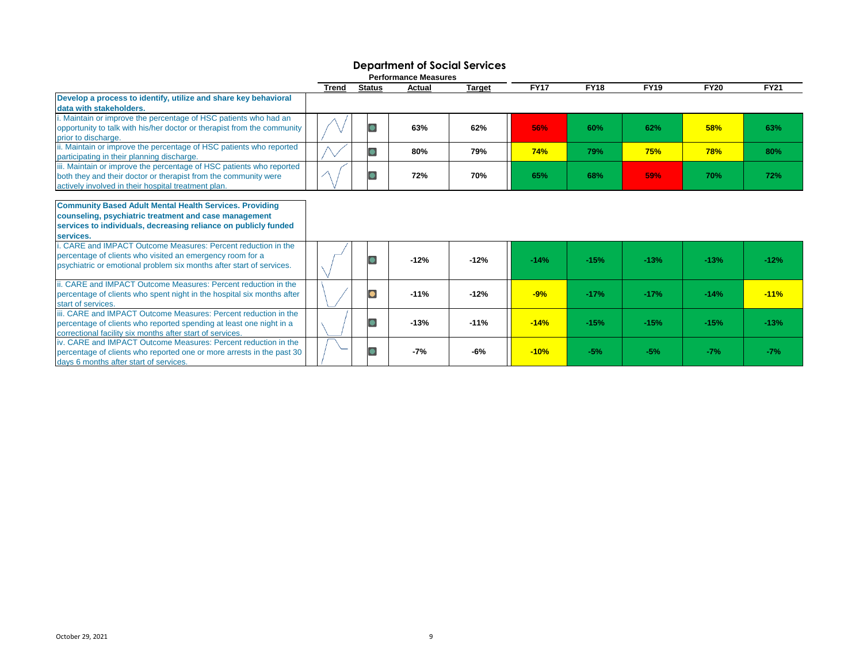| <b>Performance Measures</b>                                                                                                                                                                             |              |               |        |               |             |             |             |             |             |
|---------------------------------------------------------------------------------------------------------------------------------------------------------------------------------------------------------|--------------|---------------|--------|---------------|-------------|-------------|-------------|-------------|-------------|
|                                                                                                                                                                                                         | <b>Trend</b> | <b>Status</b> | Actual | <b>Target</b> | <b>FY17</b> | <b>FY18</b> | <b>FY19</b> | <b>FY20</b> | <b>FY21</b> |
| Develop a process to identify, utilize and share key behavioral<br>data with stakeholders.                                                                                                              |              |               |        |               |             |             |             |             |             |
| . Maintain or improve the percentage of HSC patients who had an<br>opportunity to talk with his/her doctor or therapist from the community<br>prior to discharge.                                       |              | $\bullet$     | 63%    | 62%           | 56%         | 60%         | 62%         | 58%         | 63%         |
| ii. Maintain or improve the percentage of HSC patients who reported<br>participating in their planning discharge.                                                                                       |              | $\bullet$     | 80%    | 79%           | <b>74%</b>  | 79%         | 75%         | <b>78%</b>  | 80%         |
| iii. Maintain or improve the percentage of HSC patients who reported<br>both they and their doctor or therapist from the community were<br>actively involved in their hospital treatment plan.          |              |               | 72%    | 70%           | 65%         | 68%         | 59%         | <b>70%</b>  | 72%         |
| <b>Community Based Adult Mental Health Services. Providing</b><br>counseling, psychiatric treatment and case management<br>services to individuals, decreasing reliance on publicly funded<br>services. |              |               |        |               |             |             |             |             |             |
| i. CARE and IMPACT Outcome Measures: Percent reduction in the<br>percentage of clients who visited an emergency room for a<br>psychiatric or emotional problem six months after start of services.      |              | C             | $-12%$ | $-12%$        | $-14%$      | $-15%$      | $-13%$      | $-13%$      | $-12%$      |
| ii. CARE and IMPACT Outcome Measures: Percent reduction in the<br>percentage of clients who spent night in the hospital six months after<br>start of services.                                          |              | $\bullet$     | $-11%$ | $-12%$        | $-9%$       | $-17%$      | $-17%$      | $-14%$      | $-11%$      |
| iii. CARE and IMPACT Outcome Measures: Percent reduction in the<br>percentage of clients who reported spending at least one night in a<br>correctional facility six months after start of services.     |              |               | $-13%$ | $-11%$        | $-14%$      | $-15%$      | $-15%$      | $-15%$      | $-13%$      |
| iv. CARE and IMPACT Outcome Measures: Percent reduction in the<br>percentage of clients who reported one or more arrests in the past 30<br>days 6 months after start of services.                       |              |               | -7%    | -6%           | $-10%$      | $-5%$       | $-5%$       | $-7%$       | $-7%$       |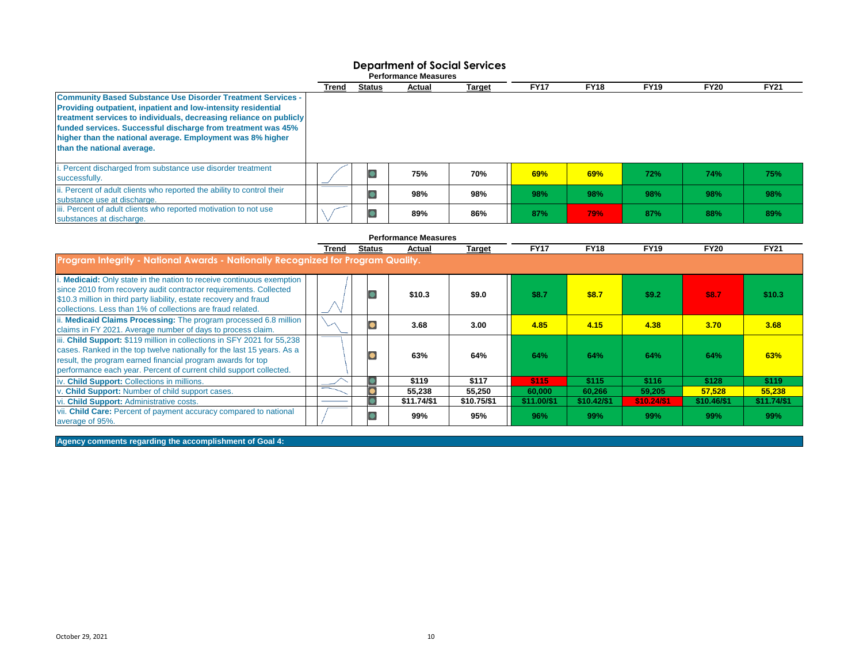|                                                                                                                                                                                                                                                                                                                                                                       |       |        | <b>Performance Measures</b> |        |             |             |             |             |             |
|-----------------------------------------------------------------------------------------------------------------------------------------------------------------------------------------------------------------------------------------------------------------------------------------------------------------------------------------------------------------------|-------|--------|-----------------------------|--------|-------------|-------------|-------------|-------------|-------------|
|                                                                                                                                                                                                                                                                                                                                                                       | Trend | Status | Actual                      | Target | <b>FY17</b> | <b>FY18</b> | <b>FY19</b> | <b>FY20</b> | <b>FY21</b> |
| <b>Community Based Substance Use Disorder Treatment Services -</b><br>Providing outpatient, inpatient and low-intensity residential<br>treatment services to individuals, decreasing reliance on publicly<br>funded services. Successful discharge from treatment was 45%<br>higher than the national average. Employment was 8% higher<br>than the national average. |       |        |                             |        |             |             |             |             |             |
| i. Percent discharged from substance use disorder treatment<br>successfully.                                                                                                                                                                                                                                                                                          |       |        | 75%                         | 70%    | 69%         | 69%         | 72%         | 74%         | 75%         |
| ii. Percent of adult clients who reported the ability to control their<br>substance use at discharge.                                                                                                                                                                                                                                                                 |       |        | 98%                         | 98%    | 98%         | 98%         | 98%         | 98%         | 98%         |
| iii. Percent of adult clients who reported motivation to not use<br>substances at discharge.                                                                                                                                                                                                                                                                          |       |        | 89%                         | 86%    | 87%         | <b>79%</b>  | 87%         | 88%         | 89%         |

|                                                                                                                                                                                                                                                                                        |       |               | <b>Performance Measures</b> |               |             |             |             |              |             |
|----------------------------------------------------------------------------------------------------------------------------------------------------------------------------------------------------------------------------------------------------------------------------------------|-------|---------------|-----------------------------|---------------|-------------|-------------|-------------|--------------|-------------|
|                                                                                                                                                                                                                                                                                        | Trend | <b>Status</b> | Actual                      | <b>Target</b> | <b>FY17</b> | <b>FY18</b> | <b>FY19</b> | <b>FY20</b>  | <b>FY21</b> |
| Program Integrity - National Awards - Nationally Recognized for Program Quality.                                                                                                                                                                                                       |       |               |                             |               |             |             |             |              |             |
| i. Medicaid: Only state in the nation to receive continuous exemption<br>since 2010 from recovery audit contractor requirements. Collected<br>\$10.3 million in third party liability, estate recovery and fraud<br>collections. Less than 1% of collections are fraud related.        |       |               | \$10.3                      | \$9.0         | \$8.7       | \$8.7       | \$9.2       | <b>\$8.7</b> | \$10.3\$    |
| ii. Medicaid Claims Processing: The program processed 6.8 million<br>claims in FY 2021. Average number of days to process claim.                                                                                                                                                       |       |               | 3.68                        | 3.00          | 4.85        | 4.15        | 4.38        | 3.70         | 3.68        |
| iii. Child Support: \$119 million in collections in SFY 2021 for 55,238<br>cases. Ranked in the top twelve nationally for the last 15 years. As a<br>result, the program earned financial program awards for top<br>performance each year. Percent of current child support collected. |       |               | 63%                         | 64%           | 64%         | 64%         | 64%         | 64%          | 63%         |
| iv. Child Support: Collections in millions.                                                                                                                                                                                                                                            |       |               | \$119                       | \$117         | \$115       | \$115       | \$116       | \$128        | \$119       |
| v. Child Support: Number of child support cases.                                                                                                                                                                                                                                       |       |               | 55,238                      | 55.250        | 60.000      | 60.266      | 59,205      | 57.528       | 55,238      |
| vi. Child Support: Administrative costs.                                                                                                                                                                                                                                               |       |               | \$11.74/\$1                 | \$10.75/\$1   | \$11.00/\$1 | \$10.42/\$1 | \$10.24/\$1 | \$10.46/\$1  | \$11.74/\$1 |
| vii. Child Care: Percent of payment accuracy compared to national<br>average of 95%.                                                                                                                                                                                                   |       |               | 99%                         | 95%           | 96%         | 99%         | 99%         | 99%          | 99%         |

#### **Agency comments regarding the accomplishment of Goal 4:**